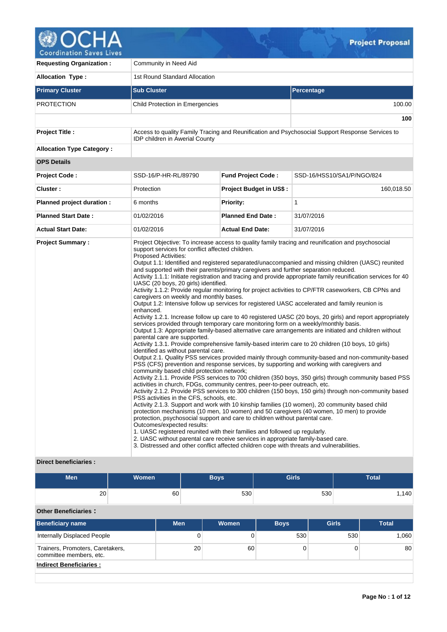

**100**

**Requesting Organization :** Community in Need Aid **Allocation Type :** 1st Round Standard Allocation **Primary Cluster Sub Cluster Sub Cluster** Sub Cluster Sub Cluster Sub Cluster Sub Cluster Sub Cluster Sub Cluster PROTECTION Child Protection in Emergencies 100.00 100.00 **Project Title :** Access to quality Family Tracing and Reunification and Psychosocial Support Response Services to IDP children in Awerial County **Allocation Type Category : OPS Details Project Code :** SSD-16/P-HR-RL/89790 **Fund Project Code :** SSD-16/HSS10/SA1/P/NGO/824 **Cluster :** 160,018.50 **Protection Project Budget in US\$ :** 160,018.50 **Planned project duration :** 6 months **Priority: Priority:** 1 **Planned Start Date :** 01/02/2016 **Planned End Date :** 31/07/2016 **Actual Start Date:** 01/02/2016 **Actual End Date:** 31/07/2016 **Project Summary :** Project Objective: To increase access to quality family tracing and reunification and psychosocial support services for conflict affected children. Proposed Activities: Output 1.1: Identified and registered separated/unaccompanied and missing children (UASC) reunited and supported with their parents/primary caregivers and further separation reduced. Activity 1.1.1: Initiate registration and tracing and provide appropriate family reunification services for 40 UASC (20 boys, 20 girls) identified. Activity 1.1.2: Provide regular monitoring for project activities to CP/FTR caseworkers, CB CPNs and caregivers on weekly and monthly bases. Output 1.2: Intensive follow up services for registered UASC accelerated and family reunion is enhanced. Activity 1.2.1. Increase follow up care to 40 registered UASC (20 boys, 20 girls) and report appropriately services provided through temporary care monitoring form on a weekly/monthly basis. Output 1.3: Appropriate family-based alternative care arrangements are initiated and children without parental care are supported. Activity 1.3.1. Provide comprehensive family-based interim care to 20 children (10 boys, 10 girls) identified as without parental care. Output 2.1. Quality PSS services provided mainly through community-based and non-community-based PSS (CFS) prevention and response services, by supporting and working with caregivers and community based child protection network; Activity 2.1.1. Provide PSS services to 700 children (350 boys, 350 girls) through community based PSS activities in church, FDGs, community centres, peer-to-peer outreach, etc. Activity 2.1.2. Provide PSS services to 300 children (150 boys, 150 girls) through non-community based PSS activities in the CFS, schools, etc. Activity 2.1.3. Support and work with 10 kinship families (10 women), 20 community based child protection mechanisms (10 men, 10 women) and 50 caregivers (40 women, 10 men) to provide

2. UASC without parental care receive services in appropriate family-based care. 3. Distressed and other conflict affected children cope with threats and vulnerabilities.

Outcomes/expected results:

# **Direct beneficiaries :**

| <b>Men</b>                                                  | <b>Women</b> |            |              | <b>Boys</b>  | <b>Girls</b> |              |     | <b>Total</b> |  |
|-------------------------------------------------------------|--------------|------------|--------------|--------------|--------------|--------------|-----|--------------|--|
| 20                                                          | 60           |            |              | 530          |              | 530          |     | 1,140        |  |
| <b>Other Beneficiaries:</b>                                 |              |            |              |              |              |              |     |              |  |
| <b>Beneficiary name</b>                                     |              | <b>Men</b> |              | <b>Women</b> | <b>Boys</b>  | <b>Girls</b> |     | <b>Total</b> |  |
| <b>Internally Displaced People</b>                          |              |            | $\mathbf{0}$ | 0            | 530          |              | 530 | 1,060        |  |
| Trainers, Promoters, Caretakers,<br>committee members, etc. |              |            | 20           | 60           | 0            |              | 0   | 80           |  |
| <b>Indirect Beneficiaries:</b>                              |              |            |              |              |              |              |     |              |  |

protection, psychosocial support and care to children without parental care.

1. UASC registered reunited with their families and followed up regularly.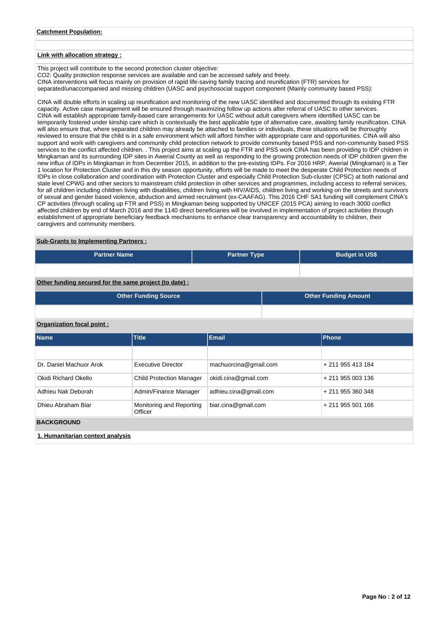## **Catchment Population:**

### **Link with allocation strategy :**

This project will contribute to the second protection cluster objective:

CO2: Quality protection response services are available and can be accessed safely and freely.

CINA interventions will focus mainly on provision of rapid life-saving family tracing and reunification (FTR) services for

separated/unaccompanied and missing children (UASC and psychosocial support component (Mainly community based PSS):

CINA will double efforts in scaling up reunification and monitoring of the new UASC identified and documented through its existing FTR capacity. Active case management will be ensured through maximizing follow up actions after referral of UASC to other services. CINA will establish appropriate family-based care arrangements for UASC without adult caregivers where identified UASC can be temporarily fostered under kinship care which is contextually the best applicable type of alternative care, awaiting family reunification. CINA will also ensure that, where separated children may already be attached to families or individuals, these situations will be thoroughly reviewed to ensure that the child is in a safe environment which will afford him/her with appropriate care and opportunities. CINA will also support and work with caregivers and community child protection network to provide community based PSS and non-community based PSS services to the conflict affected children. . This project aims at scaling up the FTR and PSS work CINA has been providing to IDP children in Mingkaman and its surrounding IDP sites in Awerial County as well as responding to the growing protection needs of IDP children given the new influx of IDPs in Mingkaman in from December 2015, in addition to the pre-existing IDPs. For 2016 HRP, Awerial (Mingkaman) is a Tier 1 location for Protection Cluster and in this dry season opportunity, efforts will be made to meet the desperate Child Protection needs of IDPs in close collaboration and coordination with Protection Cluster and especially Child Protection Sub-cluster (CPSC) at both national and state level CPWG and other sectors to mainstream child protection in other services and programmes, including access to referral services, for all children including children living with disabilities, children living with HIV/AIDS, children living and working on the streets and survivors of sexual and gender based violence, abduction and armed recruitment (ex-CAAFAG). This 2016 CHF SA1 funding will complement CINA's CP activities (through scaling up FTR and PSS) in Mingkaman being supported by UNICEF (2015 PCA) aiming to reach 3000 conflict affected children by end of March 2016 and the 1140 direct beneficiaries will be involved in implementation of project activities through establishment of appropriate beneficiary feedback mechanisms to enhance clear transparency and accountability to children, their caregivers and community members.

# **Sub-Grants to Implementing Partners :**

| <b>Partner Name</b>                                   | <b>Partner Type</b> | <b>Budget in US\$</b> |
|-------------------------------------------------------|---------------------|-----------------------|
|                                                       |                     |                       |
| Other funding secured for the same project (to date): |                     |                       |

| Other Funding Source | <b>Other Funding Amount</b> |
|----------------------|-----------------------------|
|                      |                             |

## **Organization focal point :**

| <b>Name</b>                      | <b>Title</b>                        | Phone                 |                   |  |  |  |  |  |  |
|----------------------------------|-------------------------------------|-----------------------|-------------------|--|--|--|--|--|--|
|                                  |                                     |                       |                   |  |  |  |  |  |  |
| Dr. Daniel Machuor Arok          | <b>Executive Director</b>           | machuorcina@gmail.com | + 211 955 413 184 |  |  |  |  |  |  |
| Okidi Richard Okello             | <b>Child Protection Manager</b>     | okidi.cina@gmail.com  | + 211 955 003 136 |  |  |  |  |  |  |
| Adhieu Nak Deborah               | Admin/Finance Manager               | adhieu.cina@gmail.com | + 211 955 360 348 |  |  |  |  |  |  |
| Dhieu Abraham Biar               | Monitoring and Reporting<br>Officer | biar.cina@gmail.com   | + 211 955 501 166 |  |  |  |  |  |  |
| <b>BACKGROUND</b>                |                                     |                       |                   |  |  |  |  |  |  |
| 1. Humanitarian context analysis |                                     |                       |                   |  |  |  |  |  |  |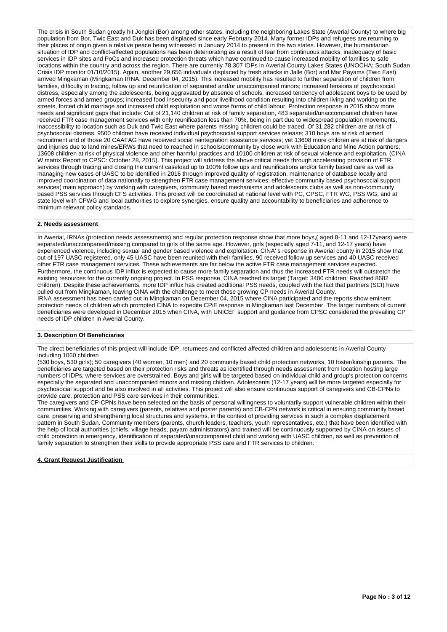The crisis in South Sudan greatly hit Jonglei (Bor) among other states, including the neighboring Lakes State (Awerial County) to where big population from Bor, Twic East and Duk has been displaced since early February 2014. Many former IDPs and refugees are returning to their places of origin given a relative peace being witnessed in January 2014 to present in the two states. However, the humanitarian situation of IDP and conflict-affected populations has been deteriorating as a result of fear from continuous attacks, inadequacy of basic services in IDP sites and PoCs and increased protection threats which have continued to cause increased mobility of families to safe locations within the country and across the region. There are currently 78,307 IDPs in Awerial County Lakes States (UNOCHA: South Sudan Crisis IDP monitor 01/10/2015). Again, another 29,656 individuals displaced by fresh attacks in Jalle (Bor) and Mar Payams (Twic East) arrived Mingkaman (Mingkaman IRNA: December 04, 2015). This increased mobility has resulted to further separation of children from families, difficulty in tracing, follow up and reunification of separated and/or unaccompanied minors; increased tensions of psychosocial distress, especially among the adolescents, being aggravated by absence of schools; increased tendency of adolescent boys to be used by armed forces and armed groups; increased food insecurity and poor livelihood condition resulting into children living and working on the streets, forced child marriage and increased child exploitation and worse forms of child labour. Protection response in 2015 show more needs and significant gaps that include: Out of 21,140 children at risk of family separation, 483 separated/unaccompanied children have received FTR case management services with only reunification less than 70%, being in part due to widespread population movements, inaccessibility to location such as Duk and Twic East where parents missing children could be traced; Of 31,282 children are at risk of psychosocial distress, 9500 children have received individual psychosocial support services release; 310 boys are at risk of armed recruitment and of those 20 CAAFAG have received social reintegration assistance services; yet 13608 more children are at risk of dangers and injuries due to land mines/ERWs that need to reached in schools/community by close work with Education and Mine Action partners; 13608 children at risk of physical violence and other harmful practices and 10100 children at risk of sexual violence and exploitation. (CINA W matrix Report to CPSC: October 28, 2015). This project will address the above critical needs through accelerating provision of FTR services through tracing and closing the current caseload up to 100% follow ups and reunifications and/or family based care as well as managing new cases of UASC to be identified in 2016 through improved quality of registration, maintenance of database locally and improved coordination of data nationally to strengthen FTR case management services; effective community based psychosocial support services( main approach) by working with caregivers, community based mechanisms and adolescents clubs as well as non-community based PSS services through CFS activities. This project will be coordinated at national level with PC, CPSC, FTR WG, PSS WG, and at state level with CPWG and local authorities to explore synergies, ensure quality and accountability to beneficiaries and adherence to minimum relevant policy standards.

### **2. Needs assessment**

In Awerial, IRNAs (protection needs assessments) and regular protection response show that more boys,( aged 8-11 and 12-17years) were separated/unaccompanied/missing compared to girls of the same age. However, girls (especially aged 7-11, and 12-17 years) have experienced violence, including sexual and gender based violence and exploitation. CINA' s response in Awerial county in 2015 show that out of 197 UASC registered, only 45 UASC have been reunited with their families, 90 received follow up services and 40 UASC received other FTR case management services. These achievements are far below the active FTR case management services expected. Furthermore, the continuous IDP influx is expected to cause more family separation and thus the increased FTR needs will outstretch the existing resources for the currently ongoing project. In PSS response, CINA reached its target (Target: 3400 children; Reached 8682 children). Despite these achievements, more IDP influx has created additional PSS needs, coupled with the fact that partners (SCI) have pulled out from Mingkaman, leaving CINA with the challenge to meet those growing CP needs in Awerial County. IRNA assessment has been carried out in Mingkaman on December 04, 2015 where CINA participated and the reports show eminent protection needs of children which prompted CINA to expedite CPiE response in Mingkaman last December. The target numbers of current beneficiaries were developed in December 2015 when CINA, with UNICEF support and guidance from CPSC considered the prevailing CP needs of IDP children in Awerial County.

### **3. Description Of Beneficiaries**

The direct beneficiaries of this project will include IDP, returnees and conflicted affected children and adolescents in Awerial County including 1060 children

(530 boys, 530 girls); 50 caregivers (40 women, 10 men) and 20 community based child protection networks, 10 foster/kinship parents. The beneficiaries are targeted based on their protection risks and threats as identified through needs assessment from location hosting large numbers of IDPs, where services are overstrained. Boys and girls will be targeted based on individual child and group's protection concerns especially the separated and unaccompanied minors and missing children. Adolescents (12-17 years) will be more targeted especially for psychosocial support and be also involved in all activities. This project will also ensure continuous support of caregivers and CB-CPNs to provide care, protection and PSS care services in their communities.

The caregivers and CP-CPNs have been selected on the basis of personal willingness to voluntarily support vulnerable children within their communities. Working with caregivers (parents, relatives and poster parents) and CB-CPN network is critical in ensuring community based care, preserving and strengthening local structures and systems, in the context of providing services in such a complex displacement pattern in South Sudan. Community members (parents, church leaders, teachers, youth representatives, etc.) that have been identified with the help of local authorities (chiefs, village heads, payam administrators) and trained will be continuously supported by CINA on issues of child protection in emergency, identification of separated/unaccompanied child and working with UASC children, as well as prevention of family separation to strengthen their skills to provide appropriate PSS care and FTR services to children.

### **4. Grant Request Justification**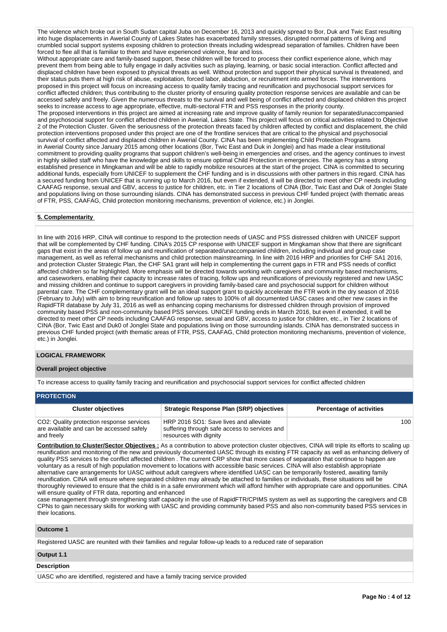The violence which broke out in South Sudan capital Juba on December 16, 2013 and quickly spread to Bor, Duk and Twic East resulting into huge displacements in Awerial County of Lakes States has exacerbated family stresses, disrupted normal patterns of living and crumbled social support systems exposing children to protection threats including widespread separation of families. Children have been forced to flee all that is familiar to them and have experienced violence, fear and loss.

Without appropriate care and family-based support, these children will be forced to process their conflict experience alone, which may prevent them from being able to fully engage in daily activities such as playing, learning, or basic social interaction. Conflict affected and displaced children have been exposed to physical threats as well. Without protection and support their physical survival is threatened, and their status puts them at high risk of abuse, exploitation, forced labor, abduction, or recruitment into armed forces. The interventions proposed in this project will focus on increasing access to quality family tracing and reunification and psychosocial support services for conflict affected children; thus contributing to the cluster priority of ensuring quality protection response services are available and can be accessed safely and freely. Given the numerous threats to the survival and well being of conflict affected and displaced children this project seeks to increase access to age appropriate, effective, multi-sectoral FTR and PSS responses in the priority county.

The proposed interventions in this project are aimed at increasing rate and improve quality of family reunion for separated/unaccompanied and psychosocial support for conflict affected children in Awerial, Lakes State. This project will focus on critical activities related to Objective 2 of the Protection Cluster. Given the seriousness of the protection threats faced by children affected by conflict and displacement, the child protection interventions proposed under this project are one of the frontline services that are critical to the physical and psychosocial survival of conflict affected and displaced children in Awerial County. CINA has been implementing Child Protection Programs in Awerial County since January 2015 among other locations (Bor, Twic East and Duk in Jonglei) and has made a clear institutional commitment to providing quality programs that support children's well-being in emergencies and crises, and the agency continues to invest in highly skilled staff who have the knowledge and skills to ensure optimal Child Protection in emergencies. The agency has a strong established presence in Mingkaman and will be able to rapidly mobilize resources at the start of the project. CINA is committed to securing additional funds, especially from UNICEF to supplement the CHF funding and is in discussions with other partners in this regard. CINA has a secured funding from UNICEF that is running up to March 2016, but even if extended, it will be directed to meet other CP needs including CAAFAG response, sexual and GBV, access to justice for children, etc. in Tier 2 locations of CINA (Bor, Twic East and Duk of Jonglei State and populations living on those surrounding islands. CINA has demonstrated success in previous CHF funded project (with thematic areas of FTR, PSS, CAAFAG, Child protection monitoring mechanisms, prevention of violence, etc.) in Jonglei.

## **5. Complementarity**

In line with 2016 HRP, CINA will continue to respond to the protection needs of UASC and PSS distressed children with UNICEF support that will be complemented by CHF funding. CINA's 2015 CP response with UNICEF support in Mingkaman show that there are significant gaps that exist in the areas of follow up and reunification of separated/unaccompanied children, including individual and group case management, as well as referral mechanisms and child protection mainstreaming. In line with 2016 HRP and priorities for CHF SA1 2016, and protection Cluster Strategic Plan, the CHF SA1 grant will help in complementing the current gaps in FTR and PSS needs of conflict affected children so far highlighted. More emphasis will be directed towards working with caregivers and community based mechanisms, and caseworkers, enabling their capacity to increase rates of tracing, follow ups and reunifications of previously registered and new UASC and missing children and continue to support caregivers in providing family-based care and psychosocial support for children without parental care. The CHF complementary grant will be an ideal support grant to quickly accelerate the FTR work in the dry season of 2016 (February to July) with aim to bring reunification and follow up rates to 100% of all documented UASC cases and other new cases in the RapidFTR database by July 31, 2016 as well as enhancing coping mechanisms for distressed children through provision of improved community based PSS and non-community based PSS services. UNICEF funding ends in March 2016, but even if extended, it will be directed to meet other CP needs including CAAFAG response, sexual and GBV, access to justice for children, etc., in Tier 2 locations of CINA (Bor, Twic East and Duk0 of Jonglei State and populations living on those surrounding islands. CINA has demonstrated success in previous CHF funded project (with thematic areas of FTR, PSS, CAAFAG, Child protection monitoring mechanisms, prevention of violence, etc.) in Jonglei.

### **LOGICAL FRAMEWORK**

## **Overall project objective**

To increase access to quality family tracing and reunification and psychosocial support services for conflict affected children

|  |  |  |  | <b>PROTECTION</b> |
|--|--|--|--|-------------------|
|  |  |  |  |                   |
|  |  |  |  |                   |

| <b>Cluster objectives</b>                                                                           | <b>Strategic Response Plan (SRP) objectives</b>                                                                   | <b>Percentage of activities</b> |
|-----------------------------------------------------------------------------------------------------|-------------------------------------------------------------------------------------------------------------------|---------------------------------|
| CO2: Quality protection response services<br>are available and can be accessed safely<br>and freely | HRP 2016 SO1: Save lives and alleviate<br>suffering through safe access to services and<br>resources with dignity | 100                             |

**Contribution to Cluster/Sector Objectives :** As a contribution to above protection cluster objectives, CINA will triple its efforts to scaling up reunification and monitoring of the new and previously documented UASC through its existing FTR capacity as well as enhancing delivery of quality PSS services to the conflict affected children . The current CRP show that more cases of separation that continue to happen are voluntary as a result of high population movement to locations with accessible basic services. CINA will also establish appropriate alternative care arrangements for UASC without adult caregivers where identified UASC can be temporarily fostered, awaiting family reunification. CINA will ensure where separated children may already be attached to families or individuals, these situations will be thoroughly reviewed to ensure that the child is in a safe environment which will afford him/her with appropriate care and opportunities. CINA will ensure quality of FTR data, reporting and enhanced

case management through strengthening staff capacity in the use of RapidFTR/CPIMS system as well as supporting the caregivers and CB CPNs to gain necessary skills for working with UASC and providing community based PSS and also non-community based PSS services in their locations.

## **Outcome 1**

Registered UASC are reunited with their families and regular follow-up leads to a reduced rate of separation

### **Output 1.1**

## **Description**

UASC who are identified, registered and have a family tracing service provided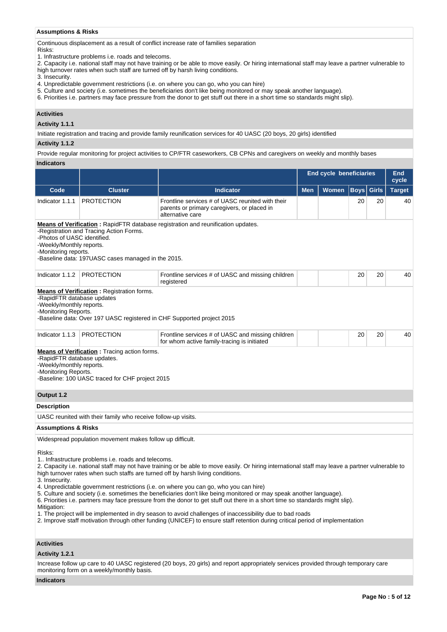## **Assumptions & Risks**

Continuous displacement as a result of conflict increase rate of families separation

Risks:

1. Infrastructure problems i.e. roads and telecoms.

2. Capacity i.e. national staff may not have training or be able to move easily. Or hiring international staff may leave a partner vulnerable to high turnover rates when such staff are turned off by harsh living conditions.

3. Insecurity.

- 4. Unpredictable government restrictions (i.e. on where you can go, who you can hire)
- 5. Culture and society (i.e. sometimes the beneficiaries don't like being monitored or may speak another language).
- 6. Priorities i.e. partners may face pressure from the donor to get stuff out there in a short time so standards might slip).

# **Activities**

## **Activity 1.1.1**

Initiate registration and tracing and provide family reunification services for 40 UASC (20 boys, 20 girls) identified

### **Activity 1.1.2**

Provide regular monitoring for project activities to CP/FTR caseworkers, CB CPNs and caregivers on weekly and monthly bases

# **Indicators**

|                                                                                                                                                                                                                                                                                                                                                                                                                                                                                                                                                                                                                                                                                                                                                                                                                                                                                                                                     |                                                                                                                             |                                                                                                                                     |     | <b>End cycle beneficiaries</b> |             | <b>End</b><br>cycle |               |  |
|-------------------------------------------------------------------------------------------------------------------------------------------------------------------------------------------------------------------------------------------------------------------------------------------------------------------------------------------------------------------------------------------------------------------------------------------------------------------------------------------------------------------------------------------------------------------------------------------------------------------------------------------------------------------------------------------------------------------------------------------------------------------------------------------------------------------------------------------------------------------------------------------------------------------------------------|-----------------------------------------------------------------------------------------------------------------------------|-------------------------------------------------------------------------------------------------------------------------------------|-----|--------------------------------|-------------|---------------------|---------------|--|
| Code                                                                                                                                                                                                                                                                                                                                                                                                                                                                                                                                                                                                                                                                                                                                                                                                                                                                                                                                | <b>Cluster</b>                                                                                                              | <b>Indicator</b>                                                                                                                    | Men | Women                          | <b>Boys</b> | Girls               | <b>Target</b> |  |
| Indicator 1.1.1                                                                                                                                                                                                                                                                                                                                                                                                                                                                                                                                                                                                                                                                                                                                                                                                                                                                                                                     | <b>PROTECTION</b>                                                                                                           | Frontline services # of UASC reunited with their<br>parents or primary caregivers, or placed in<br>alternative care                 |     |                                | 20          | 20                  | 40            |  |
| -Photos of UASC identified.<br>-Weekly/Monthly reports.<br>-Monitoring reports.                                                                                                                                                                                                                                                                                                                                                                                                                                                                                                                                                                                                                                                                                                                                                                                                                                                     | -Registration and Tracing Action Forms.<br>-Baseline data: 197UASC cases managed in the 2015.                               | <b>Means of Verification:</b> RapidFTR database registration and reunification updates.                                             |     |                                |             |                     |               |  |
| Indicator 1.1.2                                                                                                                                                                                                                                                                                                                                                                                                                                                                                                                                                                                                                                                                                                                                                                                                                                                                                                                     | <b>PROTECTION</b>                                                                                                           | Frontline services # of UASC and missing children<br>registered                                                                     |     |                                | 20          | 20                  | 40            |  |
| -RapidFTR database updates<br>-Weekly/monthly reports.<br>-Monitoring Reports.                                                                                                                                                                                                                                                                                                                                                                                                                                                                                                                                                                                                                                                                                                                                                                                                                                                      | <b>Means of Verification:</b> Registration forms.<br>-Baseline data: Over 197 UASC registered in CHF Supported project 2015 |                                                                                                                                     |     |                                |             |                     |               |  |
| Indicator 1.1.3                                                                                                                                                                                                                                                                                                                                                                                                                                                                                                                                                                                                                                                                                                                                                                                                                                                                                                                     | <b>PROTECTION</b>                                                                                                           | Frontline services # of UASC and missing children<br>for whom active family-tracing is initiated                                    |     |                                | 20          | 20                  | 40            |  |
| -RapidFTR database updates.<br>-Weekly/monthly reports.<br>-Monitoring Reports.                                                                                                                                                                                                                                                                                                                                                                                                                                                                                                                                                                                                                                                                                                                                                                                                                                                     | <b>Means of Verification:</b> Tracing action forms.<br>-Baseline: 100 UASC traced for CHF project 2015                      |                                                                                                                                     |     |                                |             |                     |               |  |
| Output 1.2                                                                                                                                                                                                                                                                                                                                                                                                                                                                                                                                                                                                                                                                                                                                                                                                                                                                                                                          |                                                                                                                             |                                                                                                                                     |     |                                |             |                     |               |  |
| <b>Description</b>                                                                                                                                                                                                                                                                                                                                                                                                                                                                                                                                                                                                                                                                                                                                                                                                                                                                                                                  |                                                                                                                             |                                                                                                                                     |     |                                |             |                     |               |  |
|                                                                                                                                                                                                                                                                                                                                                                                                                                                                                                                                                                                                                                                                                                                                                                                                                                                                                                                                     | UASC reunited with their family who receive follow-up visits.                                                               |                                                                                                                                     |     |                                |             |                     |               |  |
| Assumptions & Risks                                                                                                                                                                                                                                                                                                                                                                                                                                                                                                                                                                                                                                                                                                                                                                                                                                                                                                                 |                                                                                                                             |                                                                                                                                     |     |                                |             |                     |               |  |
|                                                                                                                                                                                                                                                                                                                                                                                                                                                                                                                                                                                                                                                                                                                                                                                                                                                                                                                                     | Widespread population movement makes follow up difficult.                                                                   |                                                                                                                                     |     |                                |             |                     |               |  |
| Risks:<br>1. Infrastructure problems i.e. roads and telecoms.<br>2. Capacity i.e. national staff may not have training or be able to move easily. Or hiring international staff may leave a partner vulnerable to<br>high turnover rates when such staffs are turned off by harsh living conditions.<br>3. Insecurity.<br>4. Unpredictable government restrictions (i.e. on where you can go, who you can hire)<br>5. Culture and society (i.e. sometimes the beneficiaries don't like being monitored or may speak another language).<br>6. Priorities i.e. partners may face pressure from the donor to get stuff out there in a short time so standards might slip).<br>Mitigation:<br>1. The project will be implemented in dry season to avoid challenges of inaccessibility due to bad roads<br>2. Improve staff motivation through other funding (UNICEF) to ensure staff retention during critical period of implementation |                                                                                                                             |                                                                                                                                     |     |                                |             |                     |               |  |
| <b>Activities</b>                                                                                                                                                                                                                                                                                                                                                                                                                                                                                                                                                                                                                                                                                                                                                                                                                                                                                                                   |                                                                                                                             |                                                                                                                                     |     |                                |             |                     |               |  |
| Activity 1.2.1                                                                                                                                                                                                                                                                                                                                                                                                                                                                                                                                                                                                                                                                                                                                                                                                                                                                                                                      |                                                                                                                             |                                                                                                                                     |     |                                |             |                     |               |  |
|                                                                                                                                                                                                                                                                                                                                                                                                                                                                                                                                                                                                                                                                                                                                                                                                                                                                                                                                     | monitoring form on a weekly/monthly basis.                                                                                  | Increase follow up care to 40 UASC registered (20 boys, 20 girls) and report appropriately services provided through temporary care |     |                                |             |                     |               |  |

# **Indicators**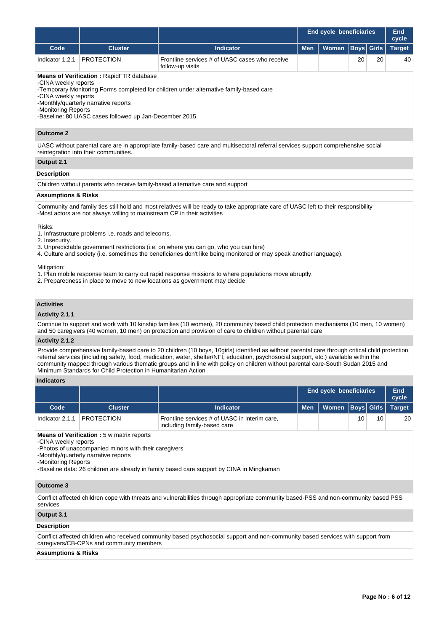|                                                                                                                                                                                                                                                                                                                                                                                                                                                                                               |                                                                                                                                 |                                                                                                                                                                                                                                                                                                                                                                                                                                                                                                                                            | <b>End cycle beneficiaries</b>                        | <b>End</b><br>cycle |      |                   |               |  |  |  |
|-----------------------------------------------------------------------------------------------------------------------------------------------------------------------------------------------------------------------------------------------------------------------------------------------------------------------------------------------------------------------------------------------------------------------------------------------------------------------------------------------|---------------------------------------------------------------------------------------------------------------------------------|--------------------------------------------------------------------------------------------------------------------------------------------------------------------------------------------------------------------------------------------------------------------------------------------------------------------------------------------------------------------------------------------------------------------------------------------------------------------------------------------------------------------------------------------|-------------------------------------------------------|---------------------|------|-------------------|---------------|--|--|--|
| Code                                                                                                                                                                                                                                                                                                                                                                                                                                                                                          | <b>Cluster</b>                                                                                                                  | <b>Indicator</b>                                                                                                                                                                                                                                                                                                                                                                                                                                                                                                                           | <b>Men</b>                                            | Women               | Boys | Girls             | <b>Target</b> |  |  |  |
| Indicator 1.2.1                                                                                                                                                                                                                                                                                                                                                                                                                                                                               | <b>PROTECTION</b>                                                                                                               | Frontline services # of UASC cases who receive<br>follow-up visits                                                                                                                                                                                                                                                                                                                                                                                                                                                                         |                                                       |                     | 20   | 20                | 40            |  |  |  |
| <b>Means of Verification: RapidFTR database</b><br>-CINA weekly reports<br>-Temporary Monitoring Forms completed for children under alternative family-based care<br>-CINA weekly reports<br>-Monthly/quarterly narrative reports<br>-Monitoring Reports<br>-Baseline: 80 UASC cases followed up Jan-December 2015<br><b>Outcome 2</b>                                                                                                                                                        |                                                                                                                                 |                                                                                                                                                                                                                                                                                                                                                                                                                                                                                                                                            |                                                       |                     |      |                   |               |  |  |  |
| UASC without parental care are in appropriate family-based care and multisectoral referral services support comprehensive social<br>reintegration into their communities.                                                                                                                                                                                                                                                                                                                     |                                                                                                                                 |                                                                                                                                                                                                                                                                                                                                                                                                                                                                                                                                            |                                                       |                     |      |                   |               |  |  |  |
| Output 2.1                                                                                                                                                                                                                                                                                                                                                                                                                                                                                    |                                                                                                                                 |                                                                                                                                                                                                                                                                                                                                                                                                                                                                                                                                            |                                                       |                     |      |                   |               |  |  |  |
| <b>Description</b>                                                                                                                                                                                                                                                                                                                                                                                                                                                                            |                                                                                                                                 |                                                                                                                                                                                                                                                                                                                                                                                                                                                                                                                                            |                                                       |                     |      |                   |               |  |  |  |
|                                                                                                                                                                                                                                                                                                                                                                                                                                                                                               |                                                                                                                                 | Children without parents who receive family-based alternative care and support                                                                                                                                                                                                                                                                                                                                                                                                                                                             |                                                       |                     |      |                   |               |  |  |  |
| <b>Assumptions &amp; Risks</b>                                                                                                                                                                                                                                                                                                                                                                                                                                                                |                                                                                                                                 |                                                                                                                                                                                                                                                                                                                                                                                                                                                                                                                                            |                                                       |                     |      |                   |               |  |  |  |
| Risks:<br>2. Insecurity.<br>Mitigation:                                                                                                                                                                                                                                                                                                                                                                                                                                                       | -Most actors are not always willing to mainstream CP in their activities<br>1. Infrastructure problems i.e. roads and telecoms. | Community and family ties still hold and most relatives will be ready to take appropriate care of UASC left to their responsibility<br>3. Unpredictable government restrictions (i.e. on where you can go, who you can hire)<br>4. Culture and society (i.e. sometimes the beneficiaries don't like being monitored or may speak another language).<br>1. Plan mobile response team to carry out rapid response missions to where populations move abruptly.<br>2. Preparedness in place to move to new locations as government may decide |                                                       |                     |      |                   |               |  |  |  |
| <b>Activities</b><br>Activity 2.1.1                                                                                                                                                                                                                                                                                                                                                                                                                                                           |                                                                                                                                 |                                                                                                                                                                                                                                                                                                                                                                                                                                                                                                                                            |                                                       |                     |      |                   |               |  |  |  |
|                                                                                                                                                                                                                                                                                                                                                                                                                                                                                               |                                                                                                                                 | Continue to support and work with 10 kinship families (10 women), 20 community based child protection mechanisms (10 men, 10 women)<br>and 50 caregivers (40 women, 10 men) on protection and provision of care to children without parental care                                                                                                                                                                                                                                                                                          |                                                       |                     |      |                   |               |  |  |  |
| Activity 2.1.2                                                                                                                                                                                                                                                                                                                                                                                                                                                                                |                                                                                                                                 |                                                                                                                                                                                                                                                                                                                                                                                                                                                                                                                                            |                                                       |                     |      |                   |               |  |  |  |
| Provide comprehensive family-based care to 20 children (10 boys, 10girls) identified as without parental care through critical child protection<br>referral services (including safety, food, medication, water, shelter/NFI, education, psychosocial support, etc.) available within the<br>community mapped through various thematic groups and in line with policy on children without parental care-South Sudan 2015 and<br>Minimum Standards for Child Protection in Humanitarian Action |                                                                                                                                 |                                                                                                                                                                                                                                                                                                                                                                                                                                                                                                                                            |                                                       |                     |      |                   |               |  |  |  |
| <b>Indicators</b>                                                                                                                                                                                                                                                                                                                                                                                                                                                                             |                                                                                                                                 |                                                                                                                                                                                                                                                                                                                                                                                                                                                                                                                                            |                                                       |                     |      |                   |               |  |  |  |
|                                                                                                                                                                                                                                                                                                                                                                                                                                                                                               |                                                                                                                                 |                                                                                                                                                                                                                                                                                                                                                                                                                                                                                                                                            | <b>End cycle beneficiaries</b><br><b>End</b><br>cycle |                     |      |                   |               |  |  |  |
| Code                                                                                                                                                                                                                                                                                                                                                                                                                                                                                          | <b>Cluster</b>                                                                                                                  | <b>Indicator</b>                                                                                                                                                                                                                                                                                                                                                                                                                                                                                                                           | <b>Men</b>                                            | <b>Women</b>        |      | <b>Boys</b> Girls | <b>Target</b> |  |  |  |
| Indicator 2.1.1                                                                                                                                                                                                                                                                                                                                                                                                                                                                               | <b>PROTECTION</b>                                                                                                               | Frontline services # of UASC in interim care,<br>including family-based care                                                                                                                                                                                                                                                                                                                                                                                                                                                               |                                                       |                     | 10   | 10                | 20            |  |  |  |

**Means of Verification :** 5 w matrix reports

-CINA weekly reports

-Photos of unaccompanied minors with their caregivers

-Monthly/quarterly narrative reports

-Monitoring Reports

-Baseline data: 26 children are already in family based care support by CINA in Mingkaman

# **Outcome 3**

Conflict affected children cope with threats and vulnerabilities through appropriate community based-PSS and non-community based PSS services

# **Output 3.1**

# **Description**

Conflict affected children who received community based psychosocial support and non-community based services with support from caregivers/CB-CPNs and community members

# **Assumptions & Risks**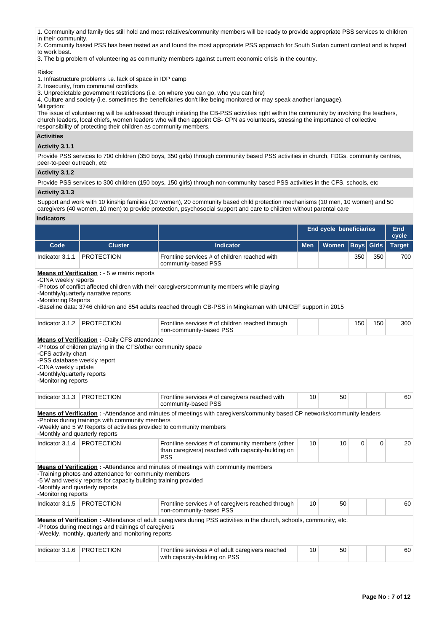- 1. Community and family ties still hold and most relatives/community members will be ready to provide appropriate PSS services to children
- in their community.

2. Community based PSS has been tested as and found the most appropriate PSS approach for South Sudan current context and is hoped to work best.

3. The big problem of volunteering as community members against current economic crisis in the country.

### Risks:

- 1. Infrastructure problems i.e. lack of space in IDP camp
- 2. Insecurity, from communal conflicts
- 3. Unpredictable government restrictions (i.e. on where you can go, who you can hire)

4. Culture and society (i.e. sometimes the beneficiaries don't like being monitored or may speak another language).

Mitigation: The issue of volunteering will be addressed through initiating the CB-PSS activities right within the community by involving the teachers, church leaders, local chiefs, women leaders who will then appoint CB- CPN as volunteers, stressing the importance of collective responsibility of protecting their children as community members.

### **Activities**

## **Activity 3.1.1**

Provide PSS services to 700 children (350 boys, 350 girls) through community based PSS activities in church, FDGs, community centres, peer-to-peer outreach, etc

## **Activity 3.1.2**

Provide PSS services to 300 children (150 boys, 150 girls) through non-community based PSS activities in the CFS, schools, etc **Activity 3.1.3** 

Support and work with 10 kinship families (10 women), 20 community based child protection mechanisms (10 men, 10 women) and 50 caregivers (40 women, 10 men) to provide protection, psychosocial support and care to children without parental care

## **Indicators**

|                                                                                                                                                                                                                                                                                                                                                           |                                                                                                                                                                                                                                                         |                                                                                                                           | <b>End cycle beneficiaries</b> | <b>End</b><br>cycle |             |              |               |  |  |
|-----------------------------------------------------------------------------------------------------------------------------------------------------------------------------------------------------------------------------------------------------------------------------------------------------------------------------------------------------------|---------------------------------------------------------------------------------------------------------------------------------------------------------------------------------------------------------------------------------------------------------|---------------------------------------------------------------------------------------------------------------------------|--------------------------------|---------------------|-------------|--------------|---------------|--|--|
| Code                                                                                                                                                                                                                                                                                                                                                      | <b>Cluster</b>                                                                                                                                                                                                                                          | <b>Indicator</b>                                                                                                          | <b>Men</b>                     | <b>Women</b>        | <b>Boys</b> | <b>Girls</b> | <b>Target</b> |  |  |
| Indicator 3.1.1                                                                                                                                                                                                                                                                                                                                           | <b>PROTECTION</b>                                                                                                                                                                                                                                       | Frontline services # of children reached with<br>community-based PSS                                                      |                                |                     | 350         | 350          | 700           |  |  |
| <b>Means of Verification : - 5 w matrix reports</b><br>-CINA weekly reports<br>-Photos of conflict affected children with their caregivers/community members while playing<br>-Monthly/quarterly narrative reports<br>-Monitoring Reports<br>-Baseline data: 3746 children and 854 adults reached through CB-PSS in Mingkaman with UNICEF support in 2015 |                                                                                                                                                                                                                                                         |                                                                                                                           |                                |                     |             |              |               |  |  |
| Indicator 3.1.2                                                                                                                                                                                                                                                                                                                                           | <b>PROTECTION</b>                                                                                                                                                                                                                                       | Frontline services # of children reached through<br>non-community-based PSS                                               |                                |                     | 150         | 150          | 300           |  |  |
| <b>Means of Verification : - Daily CFS attendance</b><br>-Photos of children playing in the CFS/other community space<br>-CFS activity chart<br>-PSS database weekly report<br>-CINA weekly update<br>-Monthly/quarterly reports<br>-Monitoring reports                                                                                                   |                                                                                                                                                                                                                                                         |                                                                                                                           |                                |                     |             |              |               |  |  |
| Indicator 3.1.3                                                                                                                                                                                                                                                                                                                                           | <b>PROTECTION</b>                                                                                                                                                                                                                                       | Frontline services # of caregivers reached with<br>community-based PSS                                                    | 10                             | 50                  |             |              | 60            |  |  |
| -Monthly and quarterly reports                                                                                                                                                                                                                                                                                                                            | -Photos during trainings with community members<br>-Weekly and 5 W Reports of activities provided to community members                                                                                                                                  | Means of Verification: - Attendance and minutes of meetings with caregivers/community based CP networks/community leaders |                                |                     |             |              |               |  |  |
| Indicator 3.1.4                                                                                                                                                                                                                                                                                                                                           | <b>PROTECTION</b>                                                                                                                                                                                                                                       | Frontline services # of community members (other<br>than caregivers) reached with capacity-building on<br><b>PSS</b>      | 10                             | 10                  | 0           | $\mathbf 0$  | 20            |  |  |
| -Monitoring reports                                                                                                                                                                                                                                                                                                                                       | <b>Means of Verification:</b> - Attendance and minutes of meetings with community members<br>-Training photos and attendance for community members<br>-5 W and weekly reports for capacity building training provided<br>-Monthly and quarterly reports |                                                                                                                           |                                |                     |             |              |               |  |  |
| Indicator 3.1.5                                                                                                                                                                                                                                                                                                                                           | <b>PROTECTION</b>                                                                                                                                                                                                                                       | Frontline services # of caregivers reached through<br>non-community-based PSS                                             | 10                             | 50                  |             |              | 60            |  |  |
| Means of Verification: - Attendance of adult caregivers during PSS activities in the church, schools, community, etc.<br>-Photos during meetings and trainings of caregivers<br>-Weekly, monthly, quarterly and monitoring reports                                                                                                                        |                                                                                                                                                                                                                                                         |                                                                                                                           |                                |                     |             |              |               |  |  |
| Indicator 3.1.6                                                                                                                                                                                                                                                                                                                                           | <b>PROTECTION</b>                                                                                                                                                                                                                                       | Frontline services # of adult caregivers reached<br>with capacity-building on PSS                                         | 10                             | 50                  |             |              | 60            |  |  |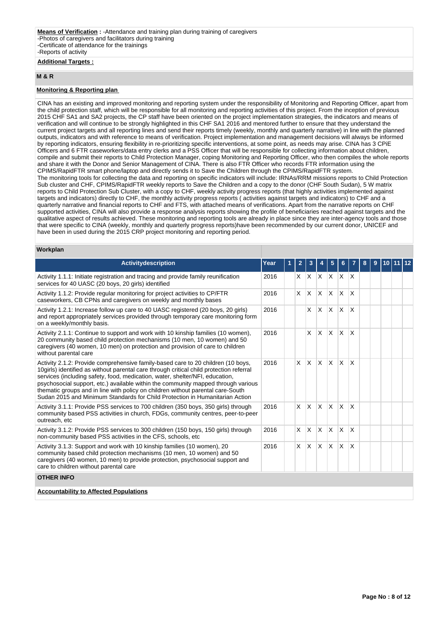# **Additional Targets :**

## **M & R**

### **Monitoring & Reporting plan**

CINA has an existing and improved monitoring and reporting system under the responsibility of Monitoring and Reporting Officer, apart from the child protection staff, which will be responsible for all monitoring and reporting activities of this project. From the inception of previous 2015 CHF SA1 and SA2 projects, the CP staff have been oriented on the project implementation strategies, the indicators and means of verification and will continue to be strongly highlighted in this CHF SA1 2016 and mentored further to ensure that they understand the current project targets and all reporting lines and send their reports timely (weekly, monthly and quarterly narrative) in line with the planned outputs, indicators and with reference to means of verification. Project implementation and management decisions will always be informed by reporting indicators, ensuring flexibility in re-prioritizing specific interventions, at some point, as needs may arise. CINA has 3 CPiE Officers and 6 FTR caseworkers/data entry clerks and a PSS Officer that will be responsible for collecting information about children, compile and submit their reports to Child Protection Manager, coping Monitoring and Reporting Officer, who then compiles the whole reports and share it with the Donor and Senior Management of CINA. There is also FTR Officer who records FTR information using the CPIMS/RapidFTR smart phone/laptop and directly sends it to Save the Children through the CPIMS/RapidFTR system. The monitoring tools for collecting the data and reporting on specific indicators will include: IRNAs/RRM missions reports to Child Protection Sub cluster and CHF, CPIMS/RapidFTR weekly reports to Save the Children and a copy to the donor (CHF South Sudan), 5 W matrix reports to Child Protection Sub Cluster, with a copy to CHF, weekly activity progress reports (that highly activities implemented against targets and indicators) directly to CHF, the monthly activity progress reports ( activities against targets and indicators) to CHF and a quarterly narrative and financial reports to CHF and FTS, with attached means of verifications. Apart from the narrative reports on CHF supported activities, CINA will also provide a response analysis reports showing the profile of beneficiaries reached against targets and the qualitative aspect of results achieved. These monitoring and reporting tools are already in place since they are inter-agency tools and those that were specific to CINA (weekly, monthly and quarterly progress reports)have been recommended by our current donor, UNICEF and have been in used during the 2015 CRP project monitoring and reporting period.

# **Workplan**

| <b>Activitydescription</b>                                                                                                                                                                                                                                                                                                                                                                                                                                                                                          | Year | $\mathbf{2}$ | 3            |              | 5            | 6            |                         | 8 | 9 | 10 |  |
|---------------------------------------------------------------------------------------------------------------------------------------------------------------------------------------------------------------------------------------------------------------------------------------------------------------------------------------------------------------------------------------------------------------------------------------------------------------------------------------------------------------------|------|--------------|--------------|--------------|--------------|--------------|-------------------------|---|---|----|--|
| Activity 1.1.1: Initiate registration and tracing and provide family reunification<br>services for 40 UASC (20 boys, 20 girls) identified                                                                                                                                                                                                                                                                                                                                                                           | 2016 | X.           |              | X X          | IX.          | X.           | $\mathsf{I} \mathsf{X}$ |   |   |    |  |
| Activity 1.1.2: Provide regular monitoring for project activities to CP/FTR<br>caseworkers, CB CPNs and caregivers on weekly and monthly bases                                                                                                                                                                                                                                                                                                                                                                      | 2016 | X            | ΙX.          | $\mathsf{X}$ | $\times$     | X            | X                       |   |   |    |  |
| Activity 1.2.1: Increase follow up care to 40 UASC registered (20 boys, 20 girls)<br>and report appropriately services provided through temporary care monitoring form<br>on a weekly/monthly basis.                                                                                                                                                                                                                                                                                                                | 2016 |              | X.           | ΙX.          | X.           | ΙX.          | $\mathsf{X}$            |   |   |    |  |
| Activity 2.1.1: Continue to support and work with 10 kinship families (10 women),<br>20 community based child protection mechanisms (10 men, 10 women) and 50<br>caregivers (40 women, 10 men) on protection and provision of care to children<br>without parental care                                                                                                                                                                                                                                             | 2016 |              | <b>X</b>     | ΙX.          | X            | X            | <sup>X</sup>            |   |   |    |  |
| Activity 2.1.2: Provide comprehensive family-based care to 20 children (10 boys,<br>10girls) identified as without parental care through critical child protection referral<br>services (including safety, food, medication, water, shelter/NFI, education,<br>psychosocial support, etc.) available within the community mapped through various<br>thematic groups and in line with policy on children without parental care-South<br>Sudan 2015 and Minimum Standards for Child Protection in Humanitarian Action | 2016 | $\times$     | X.           | $\mathsf{X}$ | $\mathsf{x}$ | $\mathsf{X}$ | <sup>X</sup>            |   |   |    |  |
| Activity 3.1.1: Provide PSS services to 700 children (350 boys, 350 girls) through<br>community based PSS activities in church, FDGs, community centres, peer-to-peer<br>outreach, etc                                                                                                                                                                                                                                                                                                                              | 2016 | X            | ΙX.          | $\mathsf{X}$ | <b>X</b>     | $\times$     | <b>X</b>                |   |   |    |  |
| Activity 3.1.2: Provide PSS services to 300 children (150 boys, 150 girls) through<br>non-community based PSS activities in the CFS, schools, etc.                                                                                                                                                                                                                                                                                                                                                                  | 2016 | $\mathsf{x}$ | $\mathsf{X}$ | <b>X</b>     | X            | X            | <sup>X</sup>            |   |   |    |  |
| Activity 3.1.3: Support and work with 10 kinship families (10 women), 20<br>community based child protection mechanisms (10 men, 10 women) and 50<br>caregivers (40 women, 10 men) to provide protection, psychosocial support and<br>care to children without parental care                                                                                                                                                                                                                                        | 2016 | $\times$     | $\mathsf{X}$ | $\mathsf{X}$ | <b>X</b>     | ΙX.          | <sup>X</sup>            |   |   |    |  |
| <b>OTHER INFO</b>                                                                                                                                                                                                                                                                                                                                                                                                                                                                                                   |      |              |              |              |              |              |                         |   |   |    |  |
| <b>Accountability to Affected Populations</b>                                                                                                                                                                                                                                                                                                                                                                                                                                                                       |      |              |              |              |              |              |                         |   |   |    |  |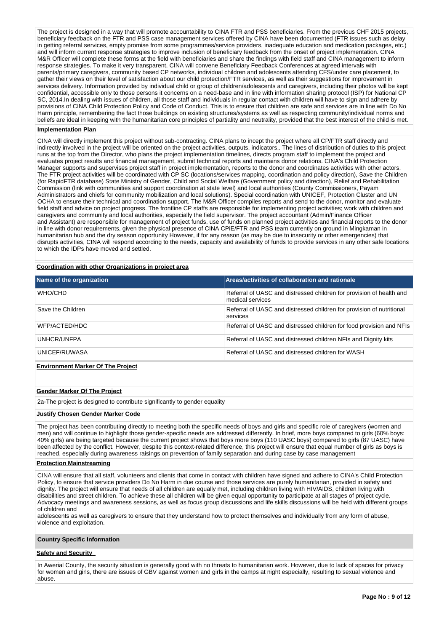The project is designed in a way that will promote accountability to CINA FTR and PSS beneficiaries. From the previous CHF 2015 projects, beneficiary feedback on the FTR and PSS case management services offered by CINA have been documented (FTR issues such as delay in getting referral services, empty promise from some programmes/service providers, inadequate education and medication packages, etc.) and will inform current response strategies to improve inclusion of beneficiary feedback from the onset of project implementation. CINA M&R Officer will complete these forms at the field with beneficiaries and share the findings with field staff and CINA management to inform response strategies. To make it very transparent, CINA will convene Beneficiary Feedback Conferences at agreed intervals with parents/primary caregivers, community based CP networks, individual children and adolescents attending CFS/under care placement, to gather their views on their level of satisfaction about our child protection/FTR services, as well as their suggestions for improvement in services delivery. Information provided by individual child or group of children/adolescents and caregivers, including their photos will be kept confidential, accessible only to those persons it concerns on a need-base and in line with information sharing protocol (ISP) for National CP SC, 2014.In dealing with issues of children, all those staff and individuals in regular contact with children will have to sign and adhere by provisions of CINA Child Protection Policy and Code of Conduct. This is to ensure that children are safe and services are in line with Do No Harm principle, remembering the fact those buildings on existing structures/systems as well as respecting community/individual norms and beliefs are ideal in keeping with the humanitarian core principles of partiality and neutrality, provided that the best interest of the child is met.

### **Implementation Plan**

CINA will directly implement this project without sub-contracting. CINA plans to incept the project where all CP/FTR staff directly and indirectly involved in the project will be oriented on the project activities, outputs, indicators,. The lines of distribution of duties to this project runs at the top from the Director, who plans the project implementation timelines, directs program staff to implement the project and evaluates project results and financial management, submit technical reports and maintains donor relations. CINA's Child Protection Manager supports and supervises project staff in project implementation, reports to the donor and coordinates activities with other actors. The FTR project activities will be coordinated with CP SC (locations/services mapping, coordination and policy direction), Save the Children (for RapidFTR database) State Ministry of Gender, Child and Social Welfare (Government policy and direction), Relief and Rehabilitation Commission (link with communities and support coordination at state level) and local authorities (County Commissioners, Payam Administrators and chiefs for community mobilization and local solutions). Special coordination with UNICEF, Protection Cluster and UN OCHA to ensure their technical and coordination support. The M&R Officer compiles reports and send to the donor, monitor and evaluate field staff and advice on project progress. The frontline CP staffs are responsible for implementing project activities; work with children and caregivers and community and local authorities, especially the field supervisor. The project accountant (Admin/Finance Officer and Assistant) are responsible for management of project funds, use of funds on planned project activities and financial reports to the donor in line with donor requirements, given the physical presence of CINA CPiE/FTR and PSS team currently on ground in Mingkaman in humanitarian hub and the dry season opportunity However, if for any reason (as may be due to insecurity or other emergencies) that disrupts activities, CINA will respond according to the needs, capacity and availability of funds to provide services in any other safe locations to which the IDPs have moved and settled.

### **Coordination with other Organizations in project area**

| Name of the organization                 | Areas/activities of collaboration and rationale                                          |
|------------------------------------------|------------------------------------------------------------------------------------------|
| WHO/CHD                                  | Referral of UASC and distressed children for provision of health and<br>medical services |
| Save the Children                        | Referral of UASC and distressed children for provision of nutritional<br>services        |
| WFP/ACTED/HDC                            | Referral of UASC and distressed children for food provision and NFIs                     |
| UNHCR/UNFPA                              | Referral of UASC and distressed children NFIs and Dignity kits                           |
| UNICEF/RUWASA                            | Referral of UASC and distressed children for WASH                                        |
| <b>Environment Marker Of The Project</b> |                                                                                          |

#### **Gender Marker Of The Project**

2a-The project is designed to contribute significantly to gender equality

### **Justify Chosen Gender Marker Code**

The project has been contributing directly to meeting both the specific needs of boys and girls and specific role of caregivers (women and men) and will continue to highlight those gender-specific needs are addressed differently. In brief, more boys compared to girls (60% boys: 40% girls) are being targeted because the current project shows that boys more boys (110 UASC boys) compared to girls (87 UASC) have been affected by the conflict. However, despite this context-related difference, this project will ensure that equal number of girls as boys is reached, especially during awareness raisings on prevention of family separation and during case by case management

### **Protection Mainstreaming**

CINA will ensure that all staff, volunteers and clients that come in contact with children have signed and adhere to CINA's Child Protection Policy, to ensure that service providers Do No Harm in due course and those services are purely humanitarian, provided in safety and dignity. The project will ensure that needs of all children are equally met, including children living with HIV/AIDS, children living with disabilities and street children. To achieve these all children will be given equal opportunity to participate at all stages of project cycle. Advocacy meetings and awareness sessions, as well as focus group discussions and life skills discussions will be held with different groups of children and

adolescents as well as caregivers to ensure that they understand how to protect themselves and individually from any form of abuse, violence and exploitation.

### **Country Specific Information**

## **Safety and Security**

In Awerial County, the security situation is generally good with no threats to humanitarian work. However, due to lack of spaces for privacy for women and girls, there are issues of GBV against women and girls in the camps at night especially, resulting to sexual violence and abuse.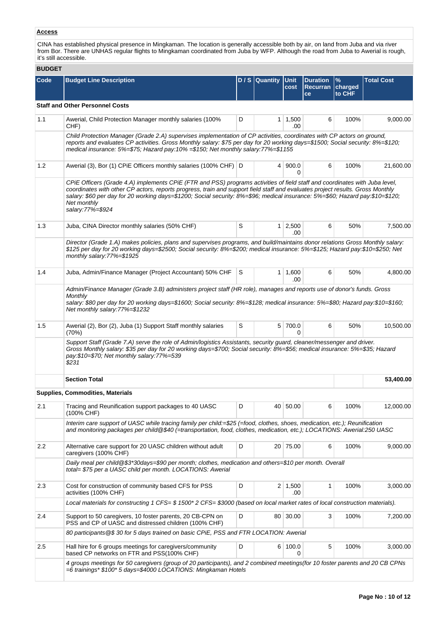# **Access**

CINA has established physical presence in Mingkaman. The location is generally accessible both by air, on land from Juba and via river from Bor. There are UNHAS regular flights to Mingkaman coordinated from Juba by WFP. Although the road from Juba to Awerial is rough, it's still accessible.

### **BUDGET**

| <b>BUDGET</b> |                                                                                                                                                                                                                                                                                                                                                                                                                                   |   |                |                       |                                          |                                    |                   |  |  |
|---------------|-----------------------------------------------------------------------------------------------------------------------------------------------------------------------------------------------------------------------------------------------------------------------------------------------------------------------------------------------------------------------------------------------------------------------------------|---|----------------|-----------------------|------------------------------------------|------------------------------------|-------------------|--|--|
| Code          | <b>Budget Line Description</b>                                                                                                                                                                                                                                                                                                                                                                                                    |   | D / S Quantity | <b>Unit</b><br>cost   | <b>Duration</b><br><b>Recurran</b><br>ce | $\frac{9}{6}$<br>charged<br>to CHF | <b>Total Cost</b> |  |  |
|               | <b>Staff and Other Personnel Costs</b>                                                                                                                                                                                                                                                                                                                                                                                            |   |                |                       |                                          |                                    |                   |  |  |
| 1.1           | Awerial, Child Protection Manager monthly salaries (100%<br>CHF)                                                                                                                                                                                                                                                                                                                                                                  | D |                | $1 \mid 1,500$<br>.00 | 6                                        | 100%                               | 9,000.00          |  |  |
|               | Child Protection Manager (Grade 2.A) supervises implementation of CP activities, coordinates with CP actors on ground,<br>reports and evaluates CP activities. Gross Monthly salary: \$75 per day for 20 working days=\$1500; Social security: 8%=\$120;<br>medical insurance: $5\% = $75$ ; Hazard pay: $10\% = $150$ ; Net monthly salary: $77\% = $1155$                                                                       |   |                |                       |                                          |                                    |                   |  |  |
| 1.2           | Awerial (3), Bor (1) CPiE Officers monthly salaries (100% CHF) D                                                                                                                                                                                                                                                                                                                                                                  |   |                | 4   900.0<br>0        | 6                                        | 100%                               | 21,600.00         |  |  |
|               | CPiE Officers (Grade 4.A) implements CPiE (FTR and PSS) programs activities of field staff and coordinates with Juba level,<br>coordinates with other CP actors, reports progress, train and support field staff and evaluates project results. Gross Monthly<br>salary: \$60 per day for 20 working days=\$1200; Social security: 8%=\$96; medical insurance: 5%=\$60; Hazard pay:\$10=\$120;<br>Net monthly<br>salary:77%=\$924 |   |                |                       |                                          |                                    |                   |  |  |
| 1.3           | Juba, CINA Director monthly salaries (50% CHF)                                                                                                                                                                                                                                                                                                                                                                                    | S |                | $1 \mid 2,500$<br>.00 | 6                                        | 50%                                | 7,500.00          |  |  |
|               | Director (Grade 1.A) makes policies, plans and supervises programs, and build/maintains donor relations Gross Monthly salary:<br>\$125 per day for 20 working days=\$2500; Social security: 8%=\$200; medical insurance: 5%=\$125; Hazard pay:\$10=\$250; Net<br>monthly salary: $77\% = $1925$                                                                                                                                   |   |                |                       |                                          |                                    |                   |  |  |
| 1.4           | Juba, Admin/Finance Manager (Project Accountant) 50% CHF                                                                                                                                                                                                                                                                                                                                                                          | S |                | $1 \mid 1,600$<br>.00 | 6                                        | 50%                                | 4,800.00          |  |  |
|               | Admin/Finance Manager (Grade 3.B) administers project staff (HR role), manages and reports use of donor's funds. Gross<br>Monthly<br>salary: \$80 per day for 20 working days=\$1600; Social security: 8%=\$128; medical insurance: 5%=\$80; Hazard pay:\$10=\$160;<br>Net monthly salary: 77%=\$1232                                                                                                                             |   |                |                       |                                          |                                    |                   |  |  |
| 1.5           | Awerial (2), Bor (2), Juba (1) Support Staff monthly salaries<br>(70%)                                                                                                                                                                                                                                                                                                                                                            | S |                | 5 700.0<br>$\Omega$   | 6                                        | 50%                                | 10,500.00         |  |  |
|               | Support Staff (Grade 7.A) serve the role of Admin/logistics Assistants, security guard, cleaner/messenger and driver.<br>Gross Monthly salary: \$35 per day for 20 working days=\$700; Social security: 8%=\$56; medical insurance: 5%=\$35; Hazard<br>pay:\$10=\$70; Net monthly salary:77%=539<br>\$231                                                                                                                         |   |                |                       |                                          |                                    |                   |  |  |
|               | <b>Section Total</b>                                                                                                                                                                                                                                                                                                                                                                                                              |   |                |                       |                                          |                                    | 53,400.00         |  |  |
|               | Supplies, Commodities, Materials                                                                                                                                                                                                                                                                                                                                                                                                  |   |                |                       |                                          |                                    |                   |  |  |
| 2.1           | Tracing and Reunification support packages to 40 UASC<br>(100% CHF)                                                                                                                                                                                                                                                                                                                                                               | D |                | 40 50.00              | 6                                        | 100%                               | 12,000.00         |  |  |
|               | Interim care support of UASC while tracing family per child:=\$25 (=food, clothes, shoes, medication, etc.); Reunification<br>and monitoring packages per child@\$40 (=transportation, food, clothes, medication, etc.); LOCATIONS: Awerial:250 UASC                                                                                                                                                                              |   |                |                       |                                          |                                    |                   |  |  |
| 2.2           | Alternative care support for 20 UASC children without adult<br>caregivers (100% CHF)                                                                                                                                                                                                                                                                                                                                              | D |                | 20 75.00              | 6                                        | 100%                               | 9,000.00          |  |  |
|               | Daily meal per child@\$3*30days=\$90 per month; clothes, medication and others=\$10 per month. Overall<br>total= \$75 per a UASC child per month. LOCATIONS: Awerial                                                                                                                                                                                                                                                              |   |                |                       |                                          |                                    |                   |  |  |
| 2.3           | Cost for construction of community based CFS for PSS<br>activities (100% CHF)                                                                                                                                                                                                                                                                                                                                                     | D |                | $2 \mid 1,500$<br>.00 | 1                                        | 100%                               | 3,000.00          |  |  |
|               | Local materials for constructing 1 CFS= \$ 1500* 2 CFS= \$3000 (based on local market rates of local construction materials).                                                                                                                                                                                                                                                                                                     |   |                |                       |                                          |                                    |                   |  |  |
| 2.4           | Support to 50 caregivers, 10 foster parents, 20 CB-CPN on<br>PSS and CP of UASC and distressed children (100% CHF)                                                                                                                                                                                                                                                                                                                | D |                | 80 30.00              | 3                                        | 100%                               | 7,200.00          |  |  |
|               | 80 participants @\$30 for 5 days trained on basic CPiE, PSS and FTR LOCATION: Awerial                                                                                                                                                                                                                                                                                                                                             |   |                |                       |                                          |                                    |                   |  |  |
| 2.5           | Hall hire for 6 groups meetings for caregivers/community<br>based CP networks on FTR and PSS(100% CHF)                                                                                                                                                                                                                                                                                                                            | D |                | 6 100.0<br>$\Omega$   | 5                                        | 100%                               | 3,000.00          |  |  |
|               | 4 groups meetings for 50 caregivers (group of 20 participants), and 2 combined meetings(for 10 foster parents and 20 CB CPNs<br>=6 trainings* \$100* 5 days=\$4000 LOCATIONS: Mingkaman Hotels                                                                                                                                                                                                                                    |   |                |                       |                                          |                                    |                   |  |  |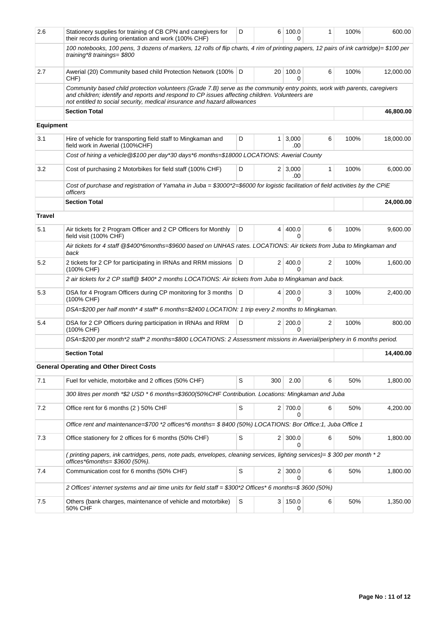| 2.6              | Stationery supplies for training of CB CPN and caregivers for<br>their records during orientation and work (100% CHF)                                                                                                                                                                                    | D |                | 6 100.0<br>$\Omega$     | 1 | 100% | 600.00    |  |  |
|------------------|----------------------------------------------------------------------------------------------------------------------------------------------------------------------------------------------------------------------------------------------------------------------------------------------------------|---|----------------|-------------------------|---|------|-----------|--|--|
|                  | 100 notebooks, 100 pens, 3 dozens of markers, 12 rolls of flip charts, 4 rim of printing papers, 12 pairs of ink cartridge)= \$100 per<br>training*8 trainings= \$800                                                                                                                                    |   |                |                         |   |      |           |  |  |
| 2.7              | Awerial (20) Community based child Protection Network (100%   D<br>CHF)                                                                                                                                                                                                                                  |   | $20-1$         | 100.0<br>U              | 6 | 100% | 12,000.00 |  |  |
|                  | Community based child protection volunteers (Grade 7.B) serve as the community entry points, work with parents, caregivers<br>and children; identify and reports and respond to CP issues affecting children. Volunteers are<br>not entitled to social security, medical insurance and hazard allowances |   |                |                         |   |      |           |  |  |
|                  | <b>Section Total</b>                                                                                                                                                                                                                                                                                     |   | 46,800.00      |                         |   |      |           |  |  |
| <b>Equipment</b> |                                                                                                                                                                                                                                                                                                          |   |                |                         |   |      |           |  |  |
| 3.1              | Hire of vehicle for transporting field staff to Mingkaman and<br>field work in Awerial (100%CHF)                                                                                                                                                                                                         | D | $\mathbf{1}$   | 3,000<br>.00            | 6 | 100% | 18,000.00 |  |  |
|                  | Cost of hiring a vehicle@\$100 per day*30 days*6 months=\$18000 LOCATIONS: Awerial County                                                                                                                                                                                                                |   |                |                         |   |      |           |  |  |
| 3.2              | Cost of purchasing 2 Motorbikes for field staff (100% CHF)                                                                                                                                                                                                                                               | D |                | $2 \mid 3,000$<br>.00   | 1 | 100% | 6,000.00  |  |  |
|                  | Cost of purchase and registration of Yamaha in Juba = \$3000*2=\$6000 for logistic facilitation of field activities by the CPiE<br><i>officers</i>                                                                                                                                                       |   |                |                         |   |      |           |  |  |
|                  | <b>Section Total</b>                                                                                                                                                                                                                                                                                     |   |                |                         |   |      | 24,000.00 |  |  |
| <b>Travel</b>    |                                                                                                                                                                                                                                                                                                          |   |                |                         |   |      |           |  |  |
| 5.1              | Air tickets for 2 Program Officer and 2 CP Officers for Monthly<br>field visit (100% CHF)                                                                                                                                                                                                                | D | $\overline{4}$ | 400.0<br>0              | 6 | 100% | 9,600.00  |  |  |
|                  | Air tickets for 4 staff @\$400*6months=\$9600 based on UNHAS rates. LOCATIONS: Air tickets from Juba to Mingkaman and<br>back                                                                                                                                                                            |   |                |                         |   |      |           |  |  |
| 5.2              | 2 tickets for 2 CP for participating in IRNAs and RRM missions<br>(100% CHF)                                                                                                                                                                                                                             | D |                | 2 400.0<br>0            | 2 | 100% | 1,600.00  |  |  |
|                  | 2 air tickets for 2 CP staff@ \$400* 2 months LOCATIONS: Air tickets from Juba to Mingkaman and back.                                                                                                                                                                                                    |   |                |                         |   |      |           |  |  |
| 5.3              | DSA for 4 Program Officers during CP monitoring for 3 months<br>(100% CHF)                                                                                                                                                                                                                               | D |                | 4 200.0<br>0            | 3 | 100% | 2,400.00  |  |  |
|                  | DSA=\$200 per half month* 4 staff* 6 months=\$2400 LOCATION: 1 trip every 2 months to Mingkaman.                                                                                                                                                                                                         |   |                |                         |   |      |           |  |  |
| 5.4              | DSA for 2 CP Officers during participation in IRNAs and RRM<br>(100% CHF)                                                                                                                                                                                                                                | D |                | 2 200.0<br><sup>0</sup> | 2 | 100% | 800.00    |  |  |
|                  | DSA=\$200 per month*2 staff* 2 months=\$800 LOCATIONS: 2 Assessment missions in Awerial/periphery in 6 months period.                                                                                                                                                                                    |   |                |                         |   |      |           |  |  |
|                  | <b>Section Total</b>                                                                                                                                                                                                                                                                                     |   |                |                         |   |      | 14,400.00 |  |  |
|                  | <b>General Operating and Other Direct Costs</b>                                                                                                                                                                                                                                                          |   |                |                         |   |      |           |  |  |
| 7.1              | Fuel for vehicle, motorbike and 2 offices (50% CHF)                                                                                                                                                                                                                                                      | S | 300            | 2.00                    | 6 | 50%  | 1,800.00  |  |  |
|                  | 300 litres per month *\$2 USD * 6 months=\$3600(50%CHF Contribution. Locations: Mingkaman and Juba                                                                                                                                                                                                       |   |                |                         |   |      |           |  |  |
| 7.2              | Office rent for 6 months (2) 50% CHF                                                                                                                                                                                                                                                                     | S |                | 2 700.0<br>0            | 6 | 50%  | 4,200.00  |  |  |
|                  | Office rent and maintenance=\$700 *2 offices *6 months= \$8400 (50%) LOCATIONS: Bor Office: 1, Juba Office 1                                                                                                                                                                                             |   |                |                         |   |      |           |  |  |
| 7.3              | Office stationery for 2 offices for 6 months (50% CHF)                                                                                                                                                                                                                                                   | S |                | $2 \mid 300.0$<br>0     | 6 | 50%  | 1,800.00  |  |  |
|                  | (printing papers, ink cartridges, pens, note pads, envelopes, cleaning services, lighting services)= \$300 per month *2<br>offices*6months= \$3600 (50%).                                                                                                                                                |   |                |                         |   |      |           |  |  |
| 7.4              | Communication cost for 6 months (50% CHF)                                                                                                                                                                                                                                                                | S | 2 <sub>1</sub> | 300.0<br>0              | 6 | 50%  | 1,800.00  |  |  |
|                  | 2 Offices' internet systems and air time units for field staff = \$300*2 Offices* 6 months=\$3600 (50%)                                                                                                                                                                                                  |   |                |                         |   |      |           |  |  |
| 7.5              | Others (bank charges, maintenance of vehicle and motorbike)<br>50% CHF                                                                                                                                                                                                                                   | S |                | 3 150.0<br>0            | 6 | 50%  | 1,350.00  |  |  |